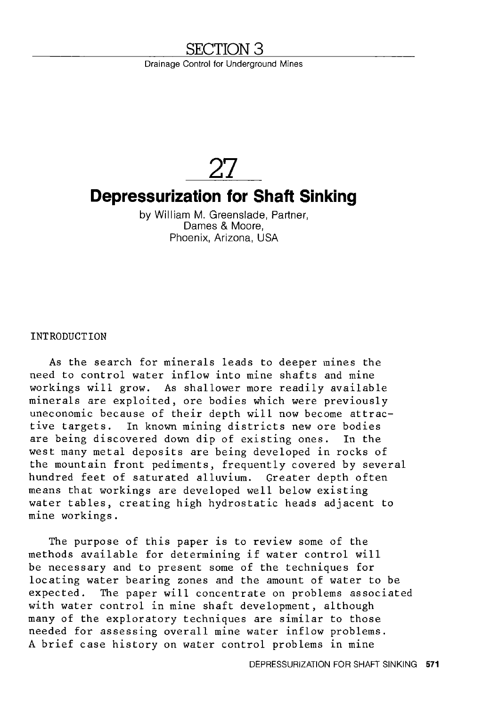# **SECTION 3**

Drainage Control for Underground Mines

**27** 

# **Depressurization for Shaft Sinking**

by William M. Greenslade, Partner, Dames & Moore, Phoenix, Arizona, USA

INTRODUCTION

As the search for minerals leads to deeper mines the need to control water inflow into mine shafts and mine workings will grow. As shallower more readily available minerals are exploited, ore bodies which were previously uneconomic because of their depth will now become attractive targets. In known mining districts new ore bodies are being discovered down dip of existing ones. west many metal deposits are being developed in rocks of the mountain front pediments, frequently covered by several hundred feet of saturated alluvium. Greater depth often means that workings are developed well below existing water tables, creating high hydrostatic heads adjacent to mine workings.

The purpose of this paper is to review some of the methods available for determining if water control will be necessary and to present some of the techniques for locating water bearing zones and the amount of water to be expected. The paper will concentrate on problems associated with water control in mine shaft development, although many of the exploratory techniques are similar to those needed for assessing overall mine water inflow problems. A brief case history on water control problems in mine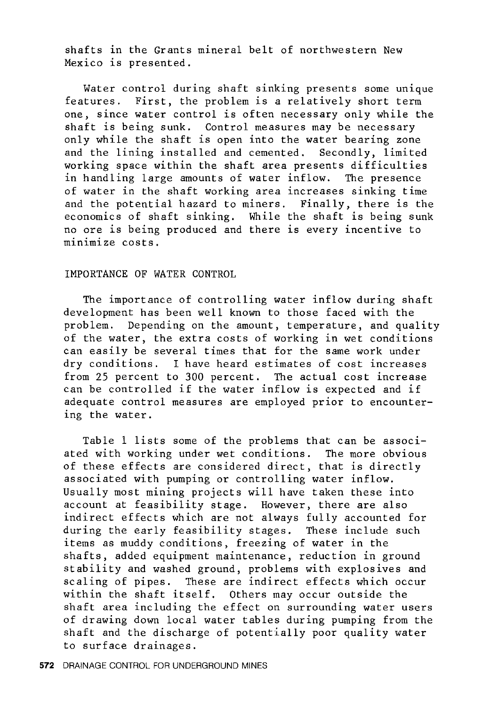shafts in the Grants mineral belt of northwestern New Mexico is presented.

Water control during shaft sinking presents some unique features. First, the problem is a relatively short term one, since water control is often necessary only while the shaft is being sunk. Control measures may be necessary only while the shaft is open into the water bearing zone and the lining installed and cemented. Secondly, limited working space within the shaft area presents difficulties in handling large amounts of water inflow. The presence of water in the shaft working area increases sinking time and the potential hazard to miners. Finally, there is the economics of shaft sinking. While the shaft is being sunk no ore is being produced and there is every incentive to minimize costs.

#### IMPORTANCE OF WATER CONTROL

The importance of controlling water inflow during shaft development has been well known to those faced with the problem. Depending on the amount, temperature, and quality of the water, the extra costs of working in wet conditions can easily be several times that for the same work under dry conditions. I have heard estimates of cost increases from 25 percent to 300 percent. The actual cost increase can be controlled if the water inflow is expected and if adequate control measures are employed prior to encountering the water.

Table 1 lists some of the problems that can be associated with working under wet conditions. The more obvious of these effects are considered direct, that is directly associated with pumping or controlling water inflow. Usually most mining projects will have taken these into account at feasibility stage. However, there are also indirect effects which are not always fully accounted for during the early feasibility stages. These include such items as muddy conditions, freezing of water in the shafts, added equipment maintenance, reduction in ground stability and washed ground, problems with explosives and scaling of pipes. These are indirect effects which occur within the shaft itself. Others may occur outside the shaft area including the effect on surrounding water users of drawing down local water tables during pumping from the shaft and the discharge of potentially poor quality water to surface drainages.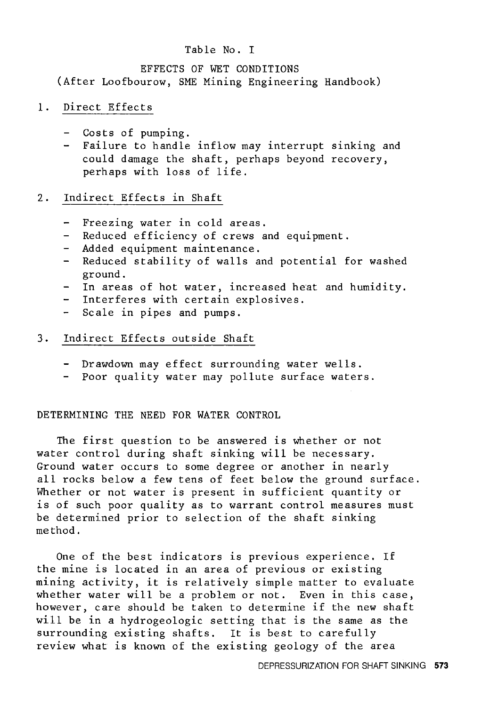#### Table No. I

#### EFFECTS OF WET CONDITIONS

(After Loofbourow, SME Mining Engineering Handbook)

### 1. Direct Effects

- Costs of pumping.
- Failure to handle inflow may interrupt sinking and  $\frac{1}{2}$ could damage the shaft, perhaps beyond recovery, perhaps with loss of life.

### 2. Indirect Effects in Shaft

- Freezing water in cold areas.  $\blacksquare$
- Reduced efficiency of crews and equipment.
- Added equipment maintenance.
- Reduced stability of walls and potential for washed  $\sim$ ground.
- In areas of hot water, increased heat and humidity.
- Interferes with certain explosives.  $\frac{1}{2}$
- Scale in pipes and pumps.

### 3. Indirect Effects outside Shaft

- Drawdown may effect surrounding water wells.
- Poor quality water may pollute surface waters.

### DETERMINING THE NEED FOR WATER CONTROL

The first question to be answered is whether or not water control during shaft sinking will be necessary. Ground water occurs to some degree or another in nearly all rocks below a few tens of feet below the ground surface. Whether or not water is present in sufficient quantity or is of such poor quality as to warrant control measures must be determined prior to selection of the shaft sinking method.

One of the best indicators is previous experience. If the mine is located in an area of previous or existing mining activity, it is relatively simple matter to evaluate whether water will be a problem or not. Even in this case, however, care should be taken to determine if the new shaft will be in a hydrogeologic setting that is the same as the surrounding existing shafts. It is best to carefully review what is known of the existing geology of the area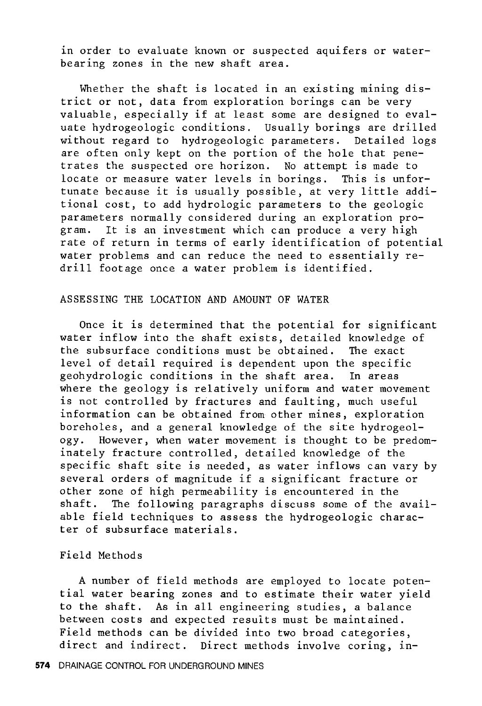in order to evaluate known or suspected aquifers or waterbearing zones in the new shaft area.

Whether the shaft is located in an existing mining district or not, data from exploration borings can be very valuable, especially if at least some are designed to evaluate hydrogeologic conditions. Usually borings are drilled without regard to hydrogeologic parameters. Detailed logs are often only kept on the portion of the hole that penetrates the suspected ore horizon. No attempt is made to locate or measure water levels in borings. This is unfortunate because it is usually possible, at very little additional cost, to add hydrologic parameters to the geologic parameters normally considered during an exploration program. It is an investment which can produce a very high rate of return in terms of early identification of potential water problems and can reduce the need to essentially redrill footage once a water problem is identified.

#### ASSESSING THE LOCATION AND AMOUNT OF WATER

Once it is determined that the potential for significant water inflow into the shaft exists, detailed knowledge of the subsurface conditions must be obtained. The exact level of detail required is dependent upon the specific geohydrologic conditions in the shaft area. In areas where the geology is relatively uniform and water movement is not controlled by fractures and faulting, much useful information can be obtained from other mines, exploration boreholes, and a general knowledge of the site hydrogeology. However, when water movement is thought to be predominately fracture controlled, detailed knowledge of the specific shaft site is needed, as water inflows can vary by several orders of magnitude if a significant fracture or other zone of high permeability is encountered in the<br>shaft. The following paragraphs discuss some of the The following paragraphs discuss some of the available field techniques to assess the hydrogeologic character of subsurface materials.

#### Field Methods

A number of field methods are employed to locate potential water bearing zones and to estimate their water yield to the shaft. As in all engineering studies, a balance between costs and expected results must be maintained. Field methods can be divided into two broad categories, direct and indirect. Direct methods involve coring, in-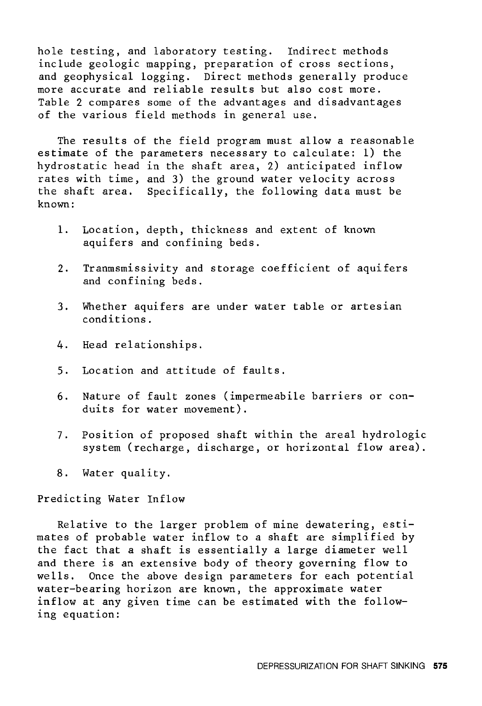hole testing, and laboratory testing. Indirect methods include geologic mapping, preparation of cross sections, and geophysical logging. Direct methods generally produce more accurate and reliable results but also cost more. Table 2 compares some of the advantages and disadvantages of the various field methods in general use.

The results of the field program must allow a reasonable estimate of the parameters necessary to calculate: 1) the hydrostatic head in the shaft area, 2) anticipated inflow rates with time, and 3) the ground water velocity across the shaft area. Specifically, the following data must be known:

- 1. Location, depth, thickness and extent of known aquifers and confining beds.
- 2. Tranmsmissivity and storage coefficient of aquifers and confining beds.
- 3. Whether aquifers are under water table or artesian conditions.
- 4. Head relationships.
- 5. Location and attitude of faults.
- 6. Nature of fault zones (impermeabile barriers or conduits for water movement).
- 7. Position of proposed shaft within the areal hydrologic system (recharge, discharge, or horizontal flow area).
- 8. Water quality.

Predicting Water Inflow

Relative to the larger problem of mine dewatering, estimates of probable water inflow to a shaft are simplified by the fact that a shaft is essentially a large diameter well and there is an extensive body of theory governing flow to wells. Once the above design parameters for each potential water-bearing horizon are known, the approximate water inflow at any given time can be estimated with the following equation: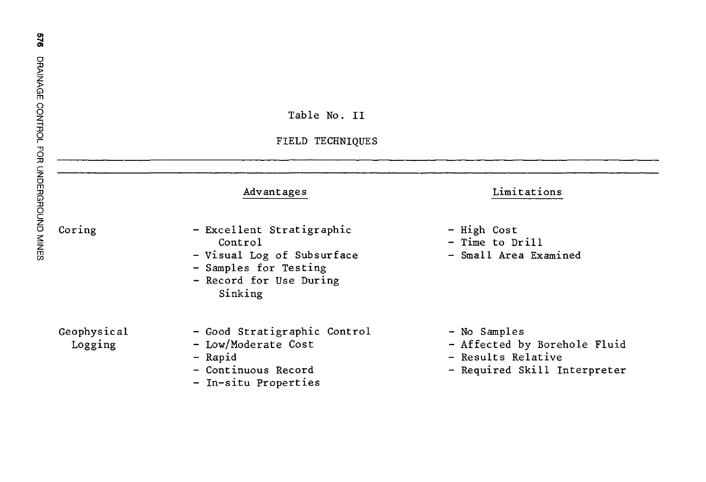| <b>DRAINAGE</b>                         |                                                                                                                                   |                                                             |
|-----------------------------------------|-----------------------------------------------------------------------------------------------------------------------------------|-------------------------------------------------------------|
|                                         | Table No. II                                                                                                                      |                                                             |
|                                         | FIELD TECHNIQUES                                                                                                                  |                                                             |
|                                         | Advantages                                                                                                                        | Limitations                                                 |
| CONTROL FOR UNDERGROUND MINES<br>Coring | - Excellent Stratigraphic<br>Control<br>- Visual Log of Subsurface<br>- Samples for Testing<br>- Record for Use During<br>Sinking | - High Cost<br>- Time to Drill<br>- Small Area Examined     |
| Geophysical<br>Logging                  | - Good Stratigraphic Control<br>- Low/Moderate Cost<br>- Rapid                                                                    | - No Samples<br>- Affected by Borehol<br>- Results Relative |

- Continuous Record

- In-situ Properties

949

- les
- by Borehole Fluid
- Relative
- Required Skill Interpreter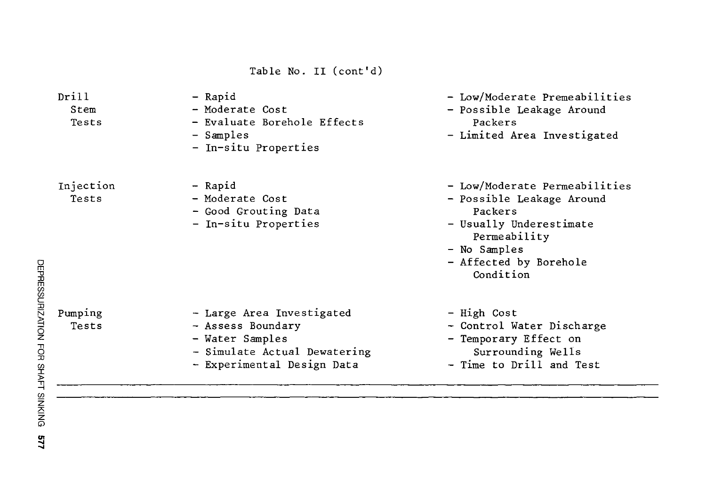Table No. II (cont'd)

| Drill<br>Stem<br>Tests | - Rapid<br>- Moderate Cost<br>- Evaluate Borehole Effects<br>- Samples<br>- In-situ Properties                                  | - Low/Moderate Premeabilities<br>- Possible Leakage Around<br>Packers<br>- Limited Area Investigated                                                                    |
|------------------------|---------------------------------------------------------------------------------------------------------------------------------|-------------------------------------------------------------------------------------------------------------------------------------------------------------------------|
| Injection<br>Tests     | - Rapid<br>- Moderate Cost<br>- Good Grouting Data<br>- In-situ Properties                                                      | - Low/Moderate Permeabilities<br>- Possible Leakage Around<br>Packers<br>- Usually Underestimate<br>Permeability<br>- No Samples<br>- Affected by Borehole<br>Condition |
| Pumping<br>Tests       | - Large Area Investigated<br>- Assess Boundary<br>- Water Samples<br>- Simulate Actual Dewatering<br>- Experimental Design Data | - High Cost<br>- Control Water Discharge<br>- Temporary Effect on<br>Surrounding Wells<br>- Time to Drill and Test                                                      |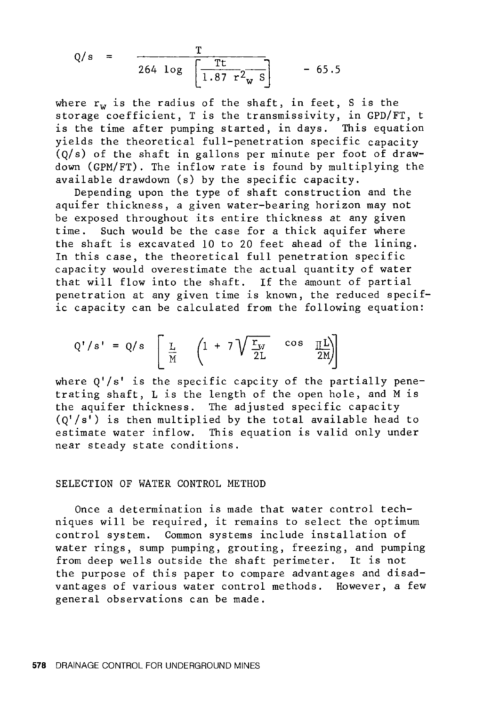$$
Q/s = \frac{T}{264 \log \left[\frac{Tt}{1.87 \text{ r}^2 \text{W s}}\right]} - 65.5
$$

where  $r_w$  is the radius of the shaft, in feet, S is the storage coefficient, T is the transmissivity, in GPD/FT, t is the time after pumping started, in days. This equation yields the theoretical full-penetration specific capacity  $(Q/s)$  of the shaft in gallons per minute per foot of drawdown (GPM/FT). The inflow rate is found by multiplying the available drawdown (s) by the specific capacity.

Depending upon the type of shaft construction and the aquifer thickness, a given water-bearing horizon may not be exposed throughout its entire thickness at any given<br>time. Such would be the case for a thick aquifer where Such would be the case for a thick aquifer where the shaft is excavated 10 to 20 feet ahead of the lining. In this case, the theoretical full penetration specific capacity would overestimate the actual quantity of water that will flow into the shaft. If the amount of partial penetration at any given time is known, the reduced specific capacity can be calculated from the following equation:

$$
Q'/s' = Q/s \left[ \frac{L}{M} \left( 1 + 7 \sqrt{\frac{r_{W}}{2L}} \cos \frac{\pi L}{2M} \right) \right]
$$

where  $Q'/s'$  is the specific capcity of the partially penetrating shaft, L is the length of the open hole, and M is the aquifer thickness. The adjusted specific capacity  $(Q'/s')$  is then multiplied by the total available head to estimate water inflow. This equation is valid only under near steady state conditions.

#### SELECTION OF WATER CONTROL METHOD

Once a determination is made that water control techniques will be required, it remains to select the optimum control system. Common systems include installation of water rings, sump pumping, grouting, freezing, and pumping from deep wells outside the shaft perimeter. It is not the purpose of this paper to compare advantages and disadvantages of various water control methods. However, a few general observations can be made.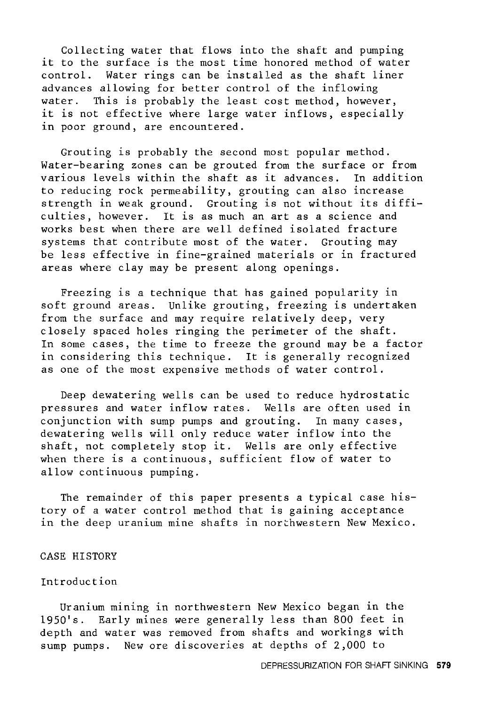Collecting water that flows into the shaft and pumping it to the surface is the most time honored method of water control. Water rings can be installed as the shaft liner advances allowing for better control of the inflowing water. This is probably the least cost method, however, it is not effective where large water inflows, especially in poor ground, are encountered.

Grouting is probably the second most popular method. Water-bearing zones can be grouted from the surface or from various levels within the shaft as it advances. In addition to reducing rock permeability, grouting can also increase strength in weak ground. Grouting is not without its difficulties, however. It is as much an art as a science and works best when there are well defined isolated fracture systems that contribute most of the water. Grouting may be less effective in fine-grained materials or in fractured areas where clay may be present along openings.

Freezing is a technique that has gained popularity in soft ground areas. Unlike grouting, freezing is undertaken from the surface and may require relatively deep, very closely spaced holes ringing the perimeter of the shaft. In some cases, the time to freeze the ground may be a factor in considering this technique. It is generally recognized as one of the most expensive methods of water control.

Deep dewatering wells can be used to reduce hydrostatic pressures and water inflow rates. Wells are often used in conjunction with sump pumps and grouting. In many cases, dewatering wells will only reduce water inflow into the shaft, not completely stop it. Wells are only effective when there is a continuous, sufficient flow of water to allow continuous pumping.

The remainder of this paper presents a typical case history of a water control method that is gaining acceptance in the deep uranium mine shafts in northwestern New Mexico.

#### CASE HISTORY

#### Introduction

Uranium mining in northwestern New Mexico began in the 1950's. Early mines were generally less than 800 feet in depth and water was removed from shafts and workings with sump pumps. New ore discoveries at depths of 2,000 to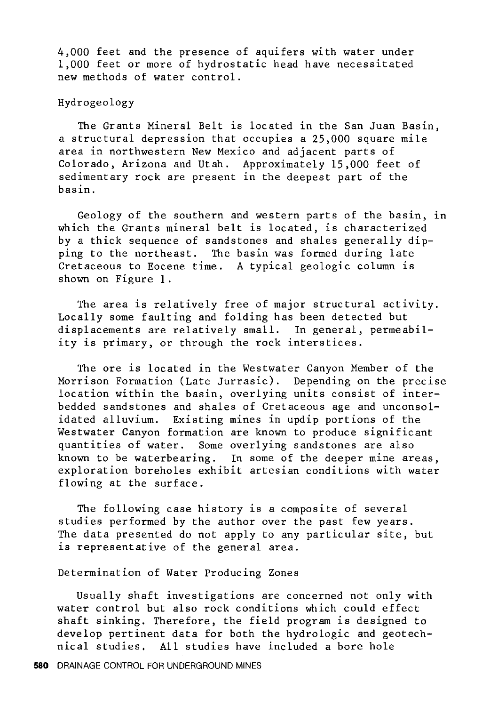4,000 feet and the presence of aquifers with water under 1,000 feet or more of hydrostatic head have necessitated new methods of water control.

#### Hydrogeology

The Grants Mineral Belt is located in the San Juan Basin, a structural depression that occupies a 25,000 square mile area in northwestern New Mexico and adjacent parts of Colorado, Arizona and Utah. Approximately 15,000 feet of sedimentary rock are present in the deepest part of the basin.

Geology of the southern and western parts of the basin, in which the Grants mineral belt is located, is characterized by a thick sequence of sandstones and shales generally dipping to the northeast. The basin was formed during late Cretaceous to Eocene time. A typical geologic column is shown on Figure 1.

The area is relatively free of major structural activity. Locally some faulting and folding has been detected but displacements are relatively small. In general, permeability is primary, or through the rock interstices.

The ore is located in the Westwater Canyon Member of the Morrison Formation (Late Jurrasic). Depending on the precise location within the basin, overlying units consist of interbedded sandstones and shales of Cretaceous age and unconsolidated alluvium. Existing mines in updip portions of the Westwater Canyon formation are known to produce significant quantities of water. Some overlying sandstones are also known to be waterbearing. In some of the deeper mine areas, exploration boreholes exhibit artesian conditions with water flowing at the surface.

The following case history is a composite of several studies performed by the author over the past few years. The data presented do not apply to any particular site, but is representative of the general area.

Determination of Water Producing Zones

Usually shaft investigations are concerned not only with water control but also rock conditions which could effect shaft sinking. Therefore, the field program is designed to develop pertinent data for both the hydrologic and geotechnical studies. All studies have included a bore hole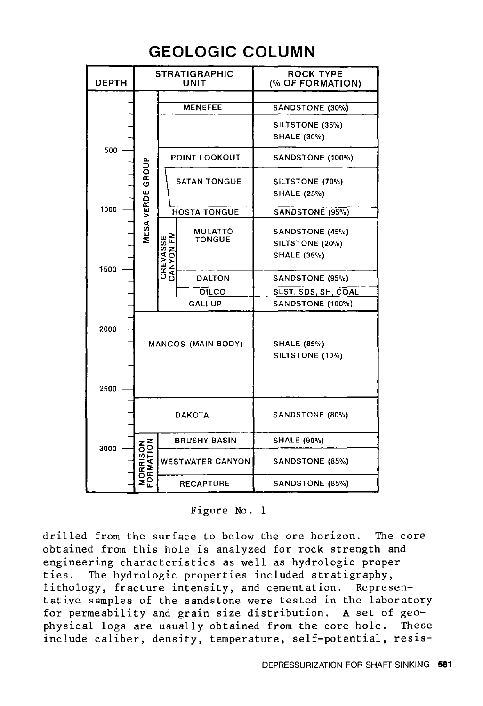# **GEOLOGIC COLUMN**

| <b>DEPTH</b> |                              |                       | <b>STRATIGRAPHIC</b><br><b>UNIT</b> | <b>ROCK TYPE</b><br>(% OF FORMATION)  |
|--------------|------------------------------|-----------------------|-------------------------------------|---------------------------------------|
|              |                              |                       |                                     |                                       |
|              |                              |                       | <b>MENEFEE</b>                      | SANDSTONE (30%)                       |
|              |                              |                       |                                     | SILTSTONE (35%)                       |
|              |                              |                       |                                     | SHALE (30%)                           |
| 500          |                              |                       | POINT LOOKOUT                       | SANDSTONE (100%)                      |
|              | MESA VERDE GROUP             |                       | <b>SATAN TONGUE</b>                 | SILTSTONE (70%)                       |
|              |                              |                       |                                     | <b>SHALE (25%)</b>                    |
| 1000         |                              |                       | <b>HOSTA TONGUE</b>                 |                                       |
|              |                              |                       |                                     | SANDSTONE (95%)                       |
|              |                              |                       | MULATTO                             | SANDSTONE (45%)                       |
|              |                              |                       | <b>TONGUE</b>                       | SILTSTONE (20%)                       |
|              |                              | CREVASSE<br>CANYON FM |                                     | SHALE (35%)                           |
| 1500         |                              |                       | <b>DALTON</b>                       | SANDSTONE (95%)                       |
|              |                              |                       | <b>DILCO</b>                        | SLST, SDS, SH, COAL                   |
|              |                              |                       | <b>GALLUP</b>                       | SANDSTONE (100%)                      |
| 2000         |                              |                       | <b>MANCOS (MAIN BODY)</b>           | <b>SHALE (85%)</b><br>SILTSTONE (10%) |
| 2500         |                              |                       |                                     |                                       |
|              |                              |                       | <b>DAKOTA</b>                       | SANDSTONE (80%)                       |
|              |                              |                       | <b>BRUSHY BASIN</b>                 | <b>SHALE (90%)</b>                    |
| 3000         | <b>MORRISON</b><br>FORMATION |                       | <b>WESTWATER CANYON</b>             | SANDSTONE (85%)                       |
|              |                              |                       | <b>RECAPTURE</b>                    | SANDSTONE (85%)                       |

Figure No. 1

drilled from the surface to below the ore horizon. The core obtained from this hole is analyzed for rock strength and engineering characteristics as well as hydrologic properties. The hydrologic properties included stratigraphy, lithology, fracture intensity, and cementation. Representative samples of the sandstone were tested in the laboratory for permeability and grain size distribution. A set of geophysical logs are usually obtained from the core hole. These include caliber, density, temperature, self-potential, resis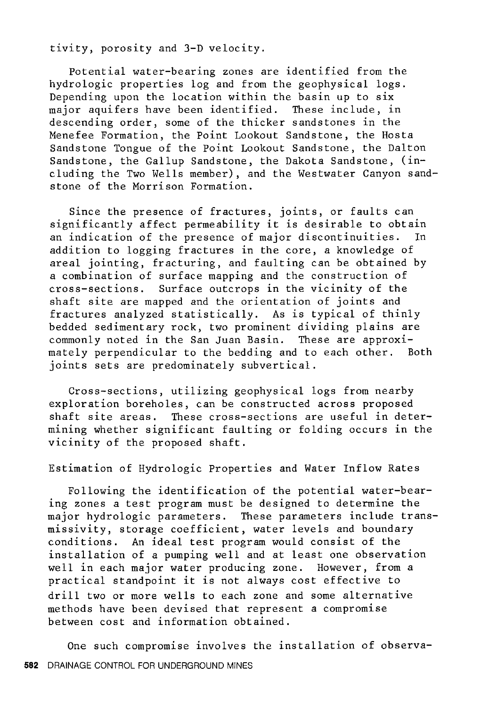tivity, porosity and 3-D velocity.

Potential water-bearing zones are identified from the hydrologic properties log and from the geophysical logs. Depending upon the location within the basin up to six major aquifers have been identified. These include, in descending order, some of the thicker sandstones in the Menefee Formation, the Point Lookout Sandstone, the Hosta Sandstone Tongue of the Point Lookout Sandstone, the Dalton Sandstone, the Gallup Sandstone, the Dakota Sandstone, (including the Two Wells member), and the Westwater Canyon sandstone of the Morrison Formation.

Since the presence of fractures, joints, or faults can significantly affect permeability it is desirable to obtain<br>an indication of the presence of major discontinuities. In an indication of the presence of major discontinuities. addition to logging fractures in the core, a knowledge of areal jointing, fracturing, and faulting can be obtained by a combination of surface mapping and the construction of cross-sections. Surface outcrops in the vicinity of the shaft site are mapped and the orientation of joints and fractures analyzed statistically. As is typical of thinly bedded sedimentary rock, two prominent dividing plains are commonly noted in the San Juan Basin. These are approximately perpendicular to the bedding and to each other. Both joints sets are predominately subvertical.

Cross-sections, utilizing geophysical logs from nearby exploration boreholes, can be constructed across proposed shaft site areas. These cross-sections are useful in determining whether significant faulting or folding occurs in the vicinity of the proposed shaft.

Estimation of Hydrologic Properties and Water Inflow Rates

Following the identification of the potential water-bearing zones a test program must be designed to determine the major hydrologic parameters. These parameters include transmissivity, storage coefficient, water levels and boundary conditions. An ideal test program would consist of the installation of a pumping well and at least one observation well in each major water producing zone. However, from a practical standpoint it is not always cost effective to drill two or more wells to each zone and some alternative methods have been devised that represent a compromise between cost and information obtained.

One such compromise involves the installation of observa-**582** DRAINAGE CONTROL FOR UNDERGROUND MINES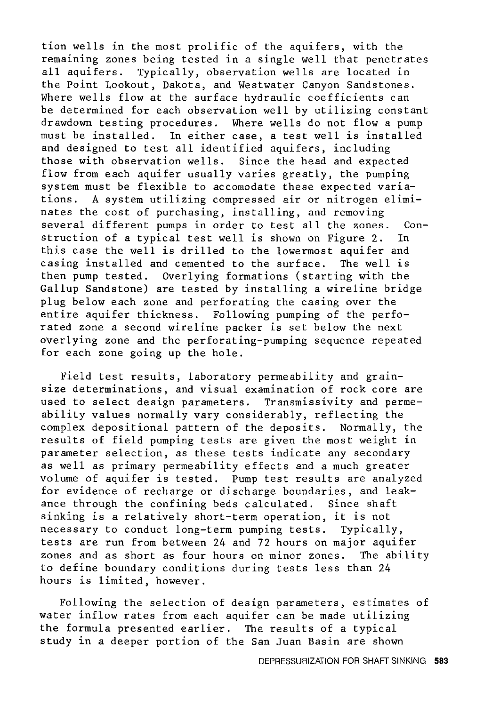tion wells in the most prolific of the aquifers, with the remaining zones being tested in a single well that penetrates all aquifers. Typically, observation wells are located in the Point Lookout, Dakota, and Westwater Canyon Sandstones. Where wells flow at the surface hydraulic coefficients can be determined for each observation well by utilizing constant drawdown testing procedures. Where wells do not flow a pump must be installed. In either case, a test well is installed and designed to test all identified aquifers, including those with observation wells. Since the head and expected flow from each aquifer usually varies greatly, the pumping system must be flexible to accomodate these expected variations. A system utilizing compressed air or nitrogen eliminates the cost of purchasing, installing, and removing several different pumps in order to test all the zones. Construction of a typical test well is shown on Figure 2. In this case the well is drilled to the lowermost aquifer and casing installed and cemented to the surface. The well is then pump tested. Overlying formations (starting with the Gallup Sandstone) are tested by installing a wireline bridge plug below each zone and perforating the casing over the .<br>entire aquifer thickness. Following pumping of the perforated zone a second wireline packer is set below the next overlying zone and the perforating-pumping sequence repeated for each zone going up the hole.

Field test results, laboratory permeability and grainsize determinations, and visual examination of rock core are used to select design parameters. Transmissivity and permeability values normally vary considerably, reflecting the complex depositional pattern of the deposits. Normally, the results of field pumping tests are given the most weight in parameter selection, as these tests indicate any secondary as well as primary permeability effects and a much greater volume of aquifer is tested. Pump test results are analyzed for evidence of recharge or discharge boundaries, and leakance through the confining beds calculated. Since shaft sinking is a relatively short-term operation, it is not necessary to conduct long-term pumping tests. Typically, tests are run from between 24 and 72 hours on major aquifer zones and as short as four hours on minor zones. The ability to define boundary conditions during tests less than 24 hours is limited, however.

Following the selection of design parameters, estimates of water inflow rates from each aquifer can be made utilizing the formula presented earlier. The results of a typical study in a deeper portion of the San Juan Basin are shown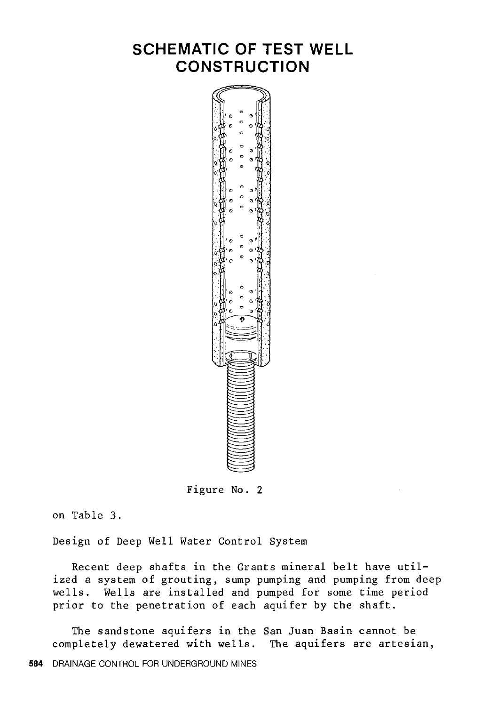# **SCHEMATIC OF TEST WELL CONSTRUCTION**



Figure No. 2

on Table 3.

Design of Deep Well Water Control System

Recent deep shafts in the Grants mineral belt have utilized a system of grouting, sump pumping and pumping from deep wells. Wells are installed and pumped for some time period prior to the penetration of each aquifer by the shaft.

The sandstone aquifers in the San Juan Basin cannot be completely dewatered with wells. The aquifers are artesian,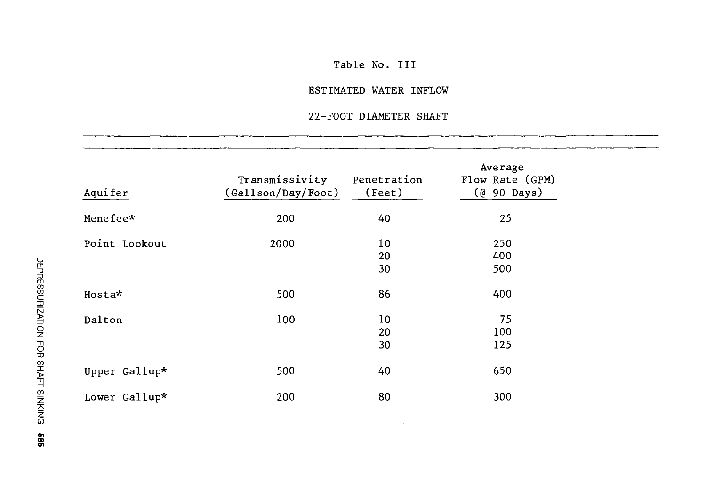## Table No. III

## ESTIMATED WATER INFLOW

# 22-FOOT DIAMETER SHAFT

| Aquifer       | Transmissivity<br>(Gallson/Day/Foot) | Penetration<br>(Feet)       | Average<br>Flow Rate (GPM)<br>(@ 90 Days) |
|---------------|--------------------------------------|-----------------------------|-------------------------------------------|
| Menefee*      | 200                                  | 40                          | 25                                        |
| Point Lookout | 2000                                 | 10 <sub>1</sub><br>20<br>30 | 250<br>400<br>500                         |
| $H$ osta $*$  | 500                                  | 86                          | 400                                       |
| Dalton        | 100                                  | 10<br>20<br>30              | 75<br>100<br>125                          |
| Upper Gallup* | 500                                  | 40                          | 650                                       |
| Lower Gallup* | 200                                  | 80                          | 300                                       |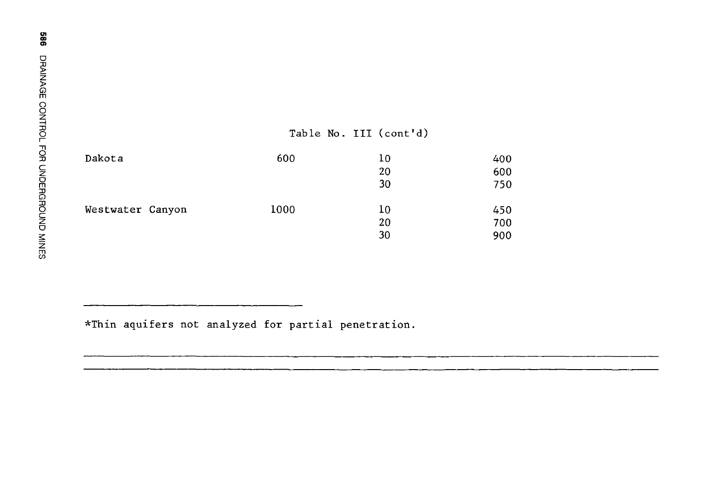en CD OI

|                  |      | Table No. III (cont'd) |     |
|------------------|------|------------------------|-----|
| Dakota           | 600  | 10                     | 400 |
|                  |      | 20                     | 600 |
|                  |      | 30                     | 750 |
| Westwater Canyon | 1000 | 10                     | 450 |
|                  |      | 20                     | 700 |
|                  |      | 30                     | 900 |

\*Thin aquifers not analyzed for partial penetration.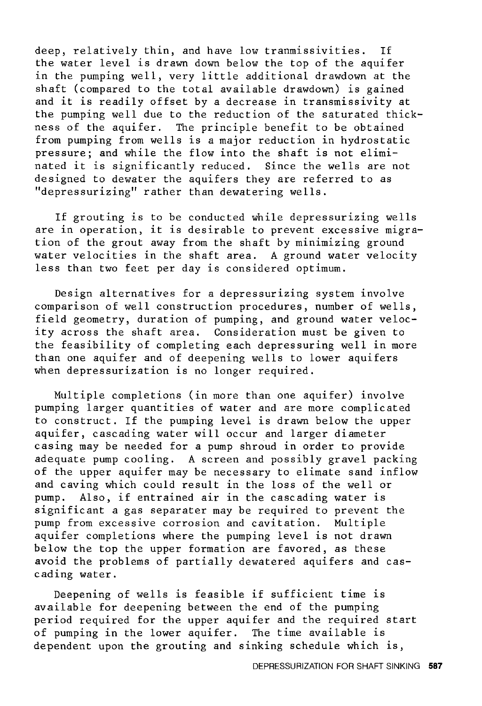deep, relatively thin, and have low tranmissivities. If the water level is drawn down below the top of the aquifer in the pumping well, very little additional drawdown at the shaft (compared to the total available drawdown) is gained and it is readily offset by a decrease in transmissivity at the pumping well due to the reduction of the saturated thickness of the aquifer. The principle benefit to be obtained from pumping from wells is a major reduction in hydrostatic pressure; and while the flow into the shaft is not eliminated it is significantly reduced. Since the wells are not designed to dewater the aquifers they are referred to as "depressurizing" rather than dewatering wells.

If grouting is to be conducted while depressurizing wells are in operation, it is desirable to prevent excessive migration of the grout away from the shaft by minimizing ground water velocities in the shaft area. A ground water velocity less than two feet per day is considered optimum.

Design alternatives for a depressurizing system involve comparison of well construction procedures, number of wells, field geometry, duration of pumping, and ground water velocity across the shaft area. Consideration must be given to the feasibility of completing each depressuring well in more than one aquifer and of deepening wells to lower aquifers when depressurization is no longer required.

Multiple completions (in more than one aquifer) involve pumping larger quantities of water and are more complicated to construct. If the pumping level is drawn below the upper aquifer, cascading water will occur and larger diameter casing may be needed for a pump shroud in order to provide adequate pump cooling. A screen and possibly gravel packing of the upper aquifer may be necessary to elimate sand inflow and caving which could result in the loss of the well or pump. Also, if entrained air in the cascading water is significant a gas separater may be required to prevent the pump from excessive corrosion and cavitation. Multiple aquifer completions where the pumping level is not drawn below the top the upper formation are favored, as these avoid the problems of partially dewatered aquifers and cascading water.

Deepening of wells is feasible if sufficient time is available for deepening between the end of the pumping period required for the upper aquifer and the required start of pumping in the lower aquifer. The time available is dependent upon the grouting and sinking schedule which is,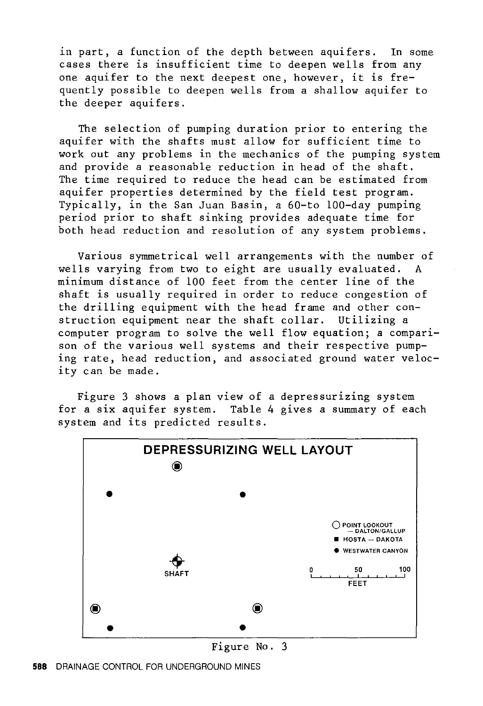in part, a function of the depth between aquifers. In some cases there is insufficient time to deepen wells from any one aquifer to the next deepest one, however, it is frequently possible to deepen wells from a shallow aquifer to the deeper aquifers.

The selection of pumping duration prior to entering the aquifer with the shafts must allow for sufficient time to work out any problems in the mechanics of the pumping system and provide a reasonable reduction in head of the shaft. The time required to reduce the head can be estimated from aquifer properties determined by the field test program. Typically, in the San Juan Basin, a 60-to 100-day pumping period prior to shaft sinking provides adequate time for both head reduction and resolution of any system problems.

Various symmetrical well arrangements with the number of wells varying from two to eight are usually evaluated. A minimum distance of 100 feet from the center line of the shaft is usually required in order to reduce congestion of the drilling equipment with the head frame and other construction equipment near the shaft collar. Utilizing a computer program to solve the well flow equation; a comparison of the various well systems and their respective pumping rate, head reduction, and associated ground water velocity can be made.

Figure 3 shows a plan view of a depressurizing system for a six aquifer system. Table 4 gives a summary of each system and its predicted results.



**588** DRAINAGE CONTROL FOR UNDERGROUND MINES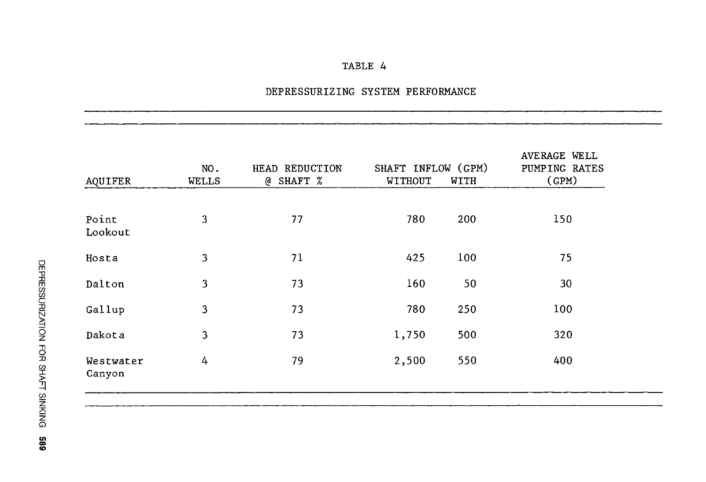## DEPRESSURIZING SYSTEM PERFORMANCE

| AQUIFER             | NO.<br><b>WELLS</b> | HEAD REDUCTION<br>SHAFT %<br>@ | SHAFT INFLOW (GPM)<br>WITHOUT | WITH | AVERAGE WELL<br>PUMPING RATES<br>(GPM) |
|---------------------|---------------------|--------------------------------|-------------------------------|------|----------------------------------------|
| Point<br>Lookout    | 3                   | 77                             | 780                           | 200  | 150                                    |
| Hosta               | 3                   | 71                             | 425                           | 100  | 75                                     |
| Dalton              | 3                   | 73                             | 160                           | 50   | 30                                     |
| Gallup              | 3                   | 73                             | 780                           | 250  | 100                                    |
| Dakota              | 3                   | 73                             | 1,750                         | 500  | 320                                    |
| Westwater<br>Canyon | 4                   | 79                             | 2,500                         | 550  | 400                                    |